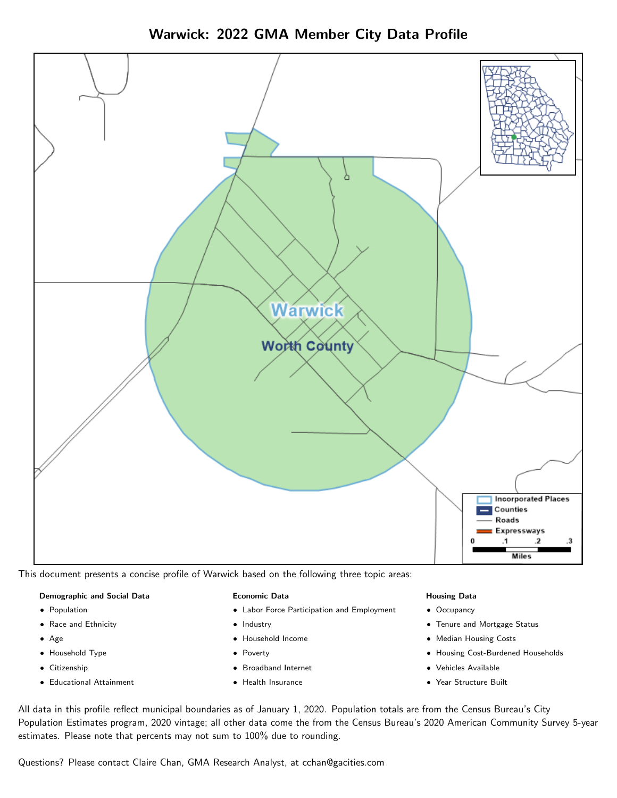



This document presents a concise profile of Warwick based on the following three topic areas:

#### Demographic and Social Data

- **•** Population
- Race and Ethnicity
- Age
- Household Type
- **Citizenship**
- Educational Attainment

#### Economic Data

- Labor Force Participation and Employment
- Industry
- Household Income
- Poverty
- Broadband Internet
- Health Insurance

#### Housing Data

- Occupancy
- Tenure and Mortgage Status
- Median Housing Costs
- Housing Cost-Burdened Households
- Vehicles Available
- Year Structure Built

All data in this profile reflect municipal boundaries as of January 1, 2020. Population totals are from the Census Bureau's City Population Estimates program, 2020 vintage; all other data come the from the Census Bureau's 2020 American Community Survey 5-year estimates. Please note that percents may not sum to 100% due to rounding.

Questions? Please contact Claire Chan, GMA Research Analyst, at [cchan@gacities.com.](mailto:cchan@gacities.com)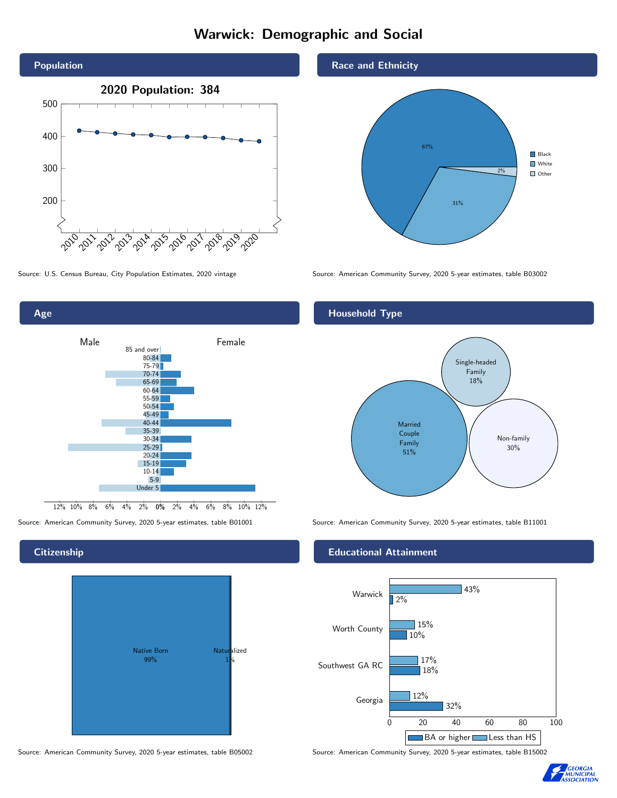# Warwick: Demographic and Social





## **Citizenship**



Source: American Community Survey, 2020 5-year estimates, table B05002 Source: American Community Survey, 2020 5-year estimates, table B15002

Race and Ethnicity



Source: U.S. Census Bureau, City Population Estimates, 2020 vintage Source: American Community Survey, 2020 5-year estimates, table B03002

## Household Type



Source: American Community Survey, 2020 5-year estimates, table B01001 Source: American Community Survey, 2020 5-year estimates, table B11001

### Educational Attainment



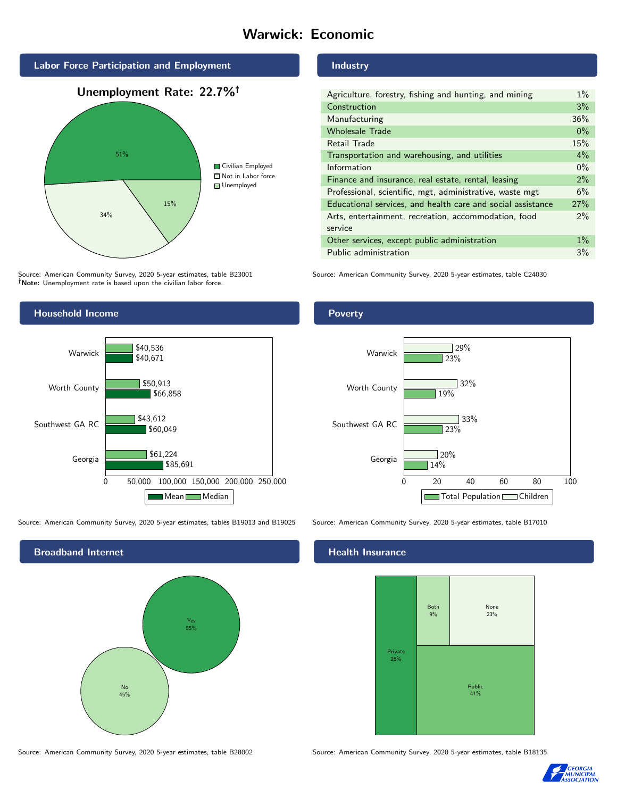# Warwick: Economic



Source: American Community Survey, 2020 5-year estimates, table B23001 Note: Unemployment rate is based upon the civilian labor force.



Source: American Community Survey, 2020 5-year estimates, tables B19013 and B19025 Source: American Community Survey, 2020 5-year estimates, table B17010



Industry

| Agriculture, forestry, fishing and hunting, and mining      | $1\%$ |
|-------------------------------------------------------------|-------|
| Construction                                                | 3%    |
| Manufacturing                                               | 36%   |
| <b>Wholesale Trade</b>                                      | $0\%$ |
| Retail Trade                                                | 15%   |
| Transportation and warehousing, and utilities               | $4\%$ |
| Information                                                 | $0\%$ |
| Finance and insurance, real estate, rental, leasing         | 2%    |
| Professional, scientific, mgt, administrative, waste mgt    | 6%    |
| Educational services, and health care and social assistance | 27%   |
| Arts, entertainment, recreation, accommodation, food        | $2\%$ |
| service                                                     |       |
| Other services, except public administration                | $1\%$ |
| Public administration                                       | 3%    |

Source: American Community Survey, 2020 5-year estimates, table C24030

## Poverty



### Health Insurance



Source: American Community Survey, 2020 5-year estimates, table B28002 Source: American Community Survey, 2020 5-year estimates, table B18135